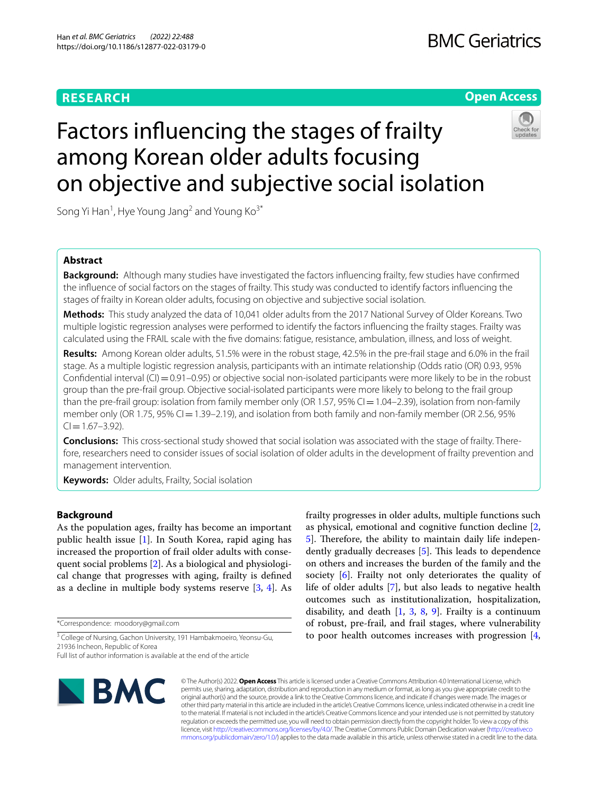# **RESEARCH**

# **Open Access**

# Factors infuencing the stages of frailty among Korean older adults focusing on objective and subjective social isolation



Song Yi Han<sup>1</sup>, Hye Young Jang<sup>2</sup> and Young Ko<sup>3\*</sup>

# **Abstract**

**Background:** Although many studies have investigated the factors influencing frailty, few studies have confirmed the infuence of social factors on the stages of frailty. This study was conducted to identify factors infuencing the stages of frailty in Korean older adults, focusing on objective and subjective social isolation.

**Methods:** This study analyzed the data of 10,041 older adults from the 2017 National Survey of Older Koreans. Two multiple logistic regression analyses were performed to identify the factors infuencing the frailty stages. Frailty was calculated using the FRAIL scale with the fve domains: fatigue, resistance, ambulation, illness, and loss of weight.

**Results:** Among Korean older adults, 51.5% were in the robust stage, 42.5% in the pre-frail stage and 6.0% in the frail stage. As a multiple logistic regression analysis, participants with an intimate relationship (Odds ratio (OR) 0.93, 95% Confidential interval  $(CI) = 0.91$ –0.95) or objective social non-isolated participants were more likely to be in the robust group than the pre-frail group. Objective social-isolated participants were more likely to belong to the frail group than the pre-frail group: isolation from family member only (OR 1.57, 95% CI $=$  1.04–2.39), isolation from non-family member only (OR 1.75, 95% CI = 1.39–2.19), and isolation from both family and non-family member (OR 2.56, 95%  $Cl = 1.67 - 3.92$ ).

**Conclusions:** This cross-sectional study showed that social isolation was associated with the stage of frailty. Therefore, researchers need to consider issues of social isolation of older adults in the development of frailty prevention and management intervention.

**Keywords:** Older adults, Frailty, Social isolation

## **Background**

As the population ages, frailty has become an important public health issue [[1\]](#page-8-0). In South Korea, rapid aging has increased the proportion of frail older adults with consequent social problems [\[2](#page-8-1)]. As a biological and physiological change that progresses with aging, frailty is defned as a decline in multiple body systems reserve  $[3, 4]$  $[3, 4]$  $[3, 4]$  $[3, 4]$ . As

\*Correspondence: moodory@gmail.com

<sup>3</sup> College of Nursing, Gachon University, 191 Hambakmoeiro, Yeonsu-Gu, 21936 Incheon, Republic of Korea

Full list of author information is available at the end of the article



society [[6\]](#page-8-5). Frailty not only deteriorates the quality of life of older adults [[7\]](#page-8-6), but also leads to negative health outcomes such as institutionalization, hospitalization, disability, and death  $[1, 3, 8, 9]$  $[1, 3, 8, 9]$  $[1, 3, 8, 9]$  $[1, 3, 8, 9]$  $[1, 3, 8, 9]$  $[1, 3, 8, 9]$  $[1, 3, 8, 9]$  $[1, 3, 8, 9]$  $[1, 3, 8, 9]$ . Frailty is a continuum of robust, pre-frail, and frail stages, where vulnerability to poor health outcomes increases with progression [\[4](#page-8-3),

frailty progresses in older adults, multiple functions such as physical, emotional and cognitive function decline [\[2](#page-8-1), [5\]](#page-8-4). Therefore, the ability to maintain daily life indepen-dently gradually decreases [[5\]](#page-8-4). This leads to dependence on others and increases the burden of the family and the

© The Author(s) 2022. **Open Access** This article is licensed under a Creative Commons Attribution 4.0 International License, which permits use, sharing, adaptation, distribution and reproduction in any medium or format, as long as you give appropriate credit to the original author(s) and the source, provide a link to the Creative Commons licence, and indicate if changes were made. The images or other third party material in this article are included in the article's Creative Commons licence, unless indicated otherwise in a credit line to the material. If material is not included in the article's Creative Commons licence and your intended use is not permitted by statutory regulation or exceeds the permitted use, you will need to obtain permission directly from the copyright holder. To view a copy of this licence, visit [http://creativecommons.org/licenses/by/4.0/.](http://creativecommons.org/licenses/by/4.0/) The Creative Commons Public Domain Dedication waiver ([http://creativeco](http://creativecommons.org/publicdomain/zero/1.0/) [mmons.org/publicdomain/zero/1.0/](http://creativecommons.org/publicdomain/zero/1.0/)) applies to the data made available in this article, unless otherwise stated in a credit line to the data.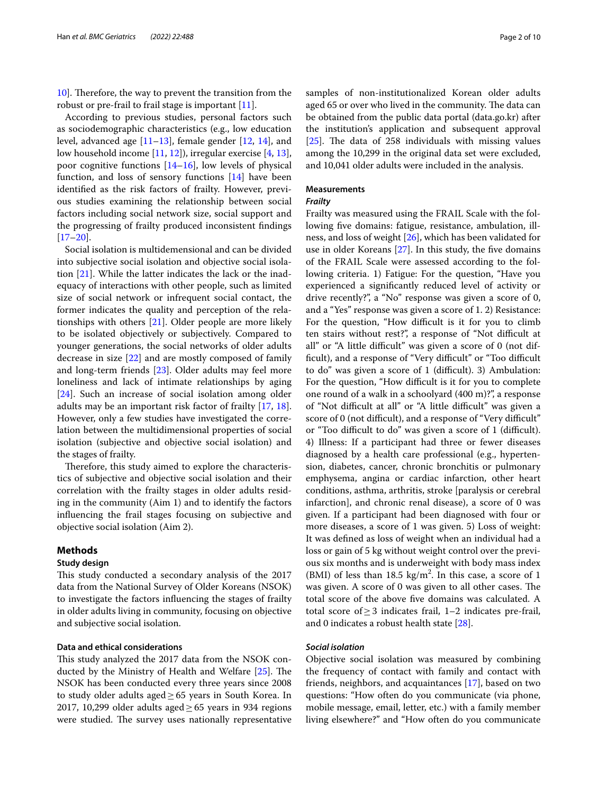[10\]](#page-8-9). Therefore, the way to prevent the transition from the robust or pre-frail to frail stage is important  $[11]$  $[11]$  $[11]$ .

According to previous studies, personal factors such as sociodemographic characteristics (e.g., low education level, advanced age [[11](#page-8-10)[–13](#page-8-11)], female gender [[12](#page-8-12), [14\]](#page-8-13), and low household income [\[11](#page-8-10), [12\]](#page-8-12)), irregular exercise [[4,](#page-8-3) [13](#page-8-11)], poor cognitive functions  $[14–16]$  $[14–16]$  $[14–16]$ , low levels of physical function, and loss of sensory functions [[14](#page-8-13)] have been identifed as the risk factors of frailty. However, previous studies examining the relationship between social factors including social network size, social support and the progressing of frailty produced inconsistent fndings  $[17–20]$  $[17–20]$  $[17–20]$  $[17–20]$ .

Social isolation is multidemensional and can be divided into subjective social isolation and objective social isolation [\[21](#page-8-17)]. While the latter indicates the lack or the inadequacy of interactions with other people, such as limited size of social network or infrequent social contact, the former indicates the quality and perception of the relationships with others [[21](#page-8-17)]. Older people are more likely to be isolated objectively or subjectively. Compared to younger generations, the social networks of older adults decrease in size [\[22\]](#page-8-18) and are mostly composed of family and long-term friends [[23\]](#page-8-19). Older adults may feel more loneliness and lack of intimate relationships by aging [[24\]](#page-8-20). Such an increase of social isolation among older adults may be an important risk factor of frailty [\[17](#page-8-15), [18](#page-8-21)]. However, only a few studies have investigated the correlation between the multidimensional properties of social isolation (subjective and objective social isolation) and the stages of frailty.

Therefore, this study aimed to explore the characteristics of subjective and objective social isolation and their correlation with the frailty stages in older adults residing in the community (Aim 1) and to identify the factors infuencing the frail stages focusing on subjective and objective social isolation (Aim 2).

### **Methods**

#### **Study design**

This study conducted a secondary analysis of the 2017 data from the National Survey of Older Koreans (NSOK) to investigate the factors infuencing the stages of frailty in older adults living in community, focusing on objective and subjective social isolation.

## **Data and ethical considerations**

This study analyzed the 2017 data from the NSOK conducted by the Ministry of Health and Welfare  $[25]$  $[25]$ . The NSOK has been conducted every three years since 2008 to study older adults aged≥65 years in South Korea. In 2017, 10,299 older adults aged  $\geq$  65 years in 934 regions were studied. The survey uses nationally representative samples of non-institutionalized Korean older adults aged 65 or over who lived in the community. The data can be obtained from the public data portal (data.go.kr) after the institution's application and subsequent approval  $[25]$  $[25]$ . The data of 258 individuals with missing values among the 10,299 in the original data set were excluded, and 10,041 older adults were included in the analysis.

## **Measurements**

## *Frailty*

Frailty was measured using the FRAIL Scale with the following fve domains: fatigue, resistance, ambulation, illness, and loss of weight [\[26\]](#page-8-23), which has been validated for use in older Koreans  $[27]$ . In this study, the five domains of the FRAIL Scale were assessed according to the following criteria. 1) Fatigue: For the question, "Have you experienced a signifcantly reduced level of activity or drive recently?", a "No" response was given a score of 0, and a "Yes" response was given a score of 1. 2) Resistance: For the question, "How difficult is it for you to climb ten stairs without rest?", a response of "Not difficult at all" or "A little difficult" was given a score of 0 (not difficult), and a response of "Very difficult" or "Too difficult to do" was given a score of  $1$  (difficult). 3) Ambulation: For the question, "How difficult is it for you to complete one round of a walk in a schoolyard (400 m)?", a response of "Not difficult at all" or "A little difficult" was given a score of 0 (not difficult), and a response of "Very difficult" or "Too difficult to do" was given a score of 1 (difficult). 4) Illness: If a participant had three or fewer diseases diagnosed by a health care professional (e.g., hypertension, diabetes, cancer, chronic bronchitis or pulmonary emphysema, angina or cardiac infarction, other heart conditions, asthma, arthritis, stroke [paralysis or cerebral infarction], and chronic renal disease), a score of 0 was given. If a participant had been diagnosed with four or more diseases, a score of 1 was given. 5) Loss of weight: It was defned as loss of weight when an individual had a loss or gain of 5 kg without weight control over the previous six months and is underweight with body mass index (BMI) of less than  $18.5 \text{ kg/m}^2$ . In this case, a score of 1 was given. A score of 0 was given to all other cases. The total score of the above fve domains was calculated. A total score of  $≥$ 3 indicates frail, 1–2 indicates pre-frail, and 0 indicates a robust health state [\[28\]](#page-8-25).

## *Social isolation*

Objective social isolation was measured by combining the frequency of contact with family and contact with friends, neighbors, and acquaintances [[17\]](#page-8-15), based on two questions: "How often do you communicate (via phone, mobile message, email, letter, etc.) with a family member living elsewhere?" and "How often do you communicate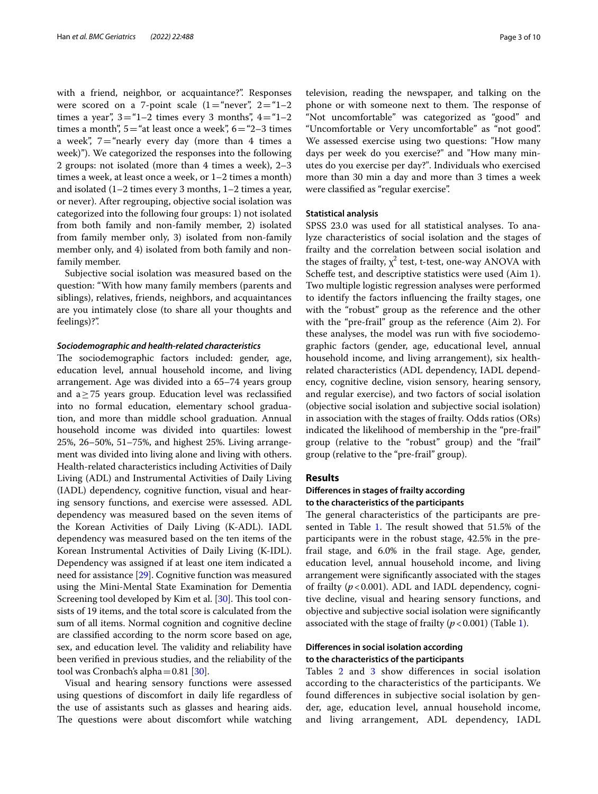with a friend, neighbor, or acquaintance?". Responses were scored on a 7-point scale  $(1 = "never", 2 = "1-2$ times a year",  $3 = 1 - 2$  times every 3 months",  $4 = 1 - 2$ times a month",  $5$  = "at least once a week",  $6$  = "2–3 times a week",  $7$ ="nearly every day (more than 4 times a week)"). We categorized the responses into the following 2 groups: not isolated (more than 4 times a week), 2–3 times a week, at least once a week, or 1–2 times a month) and isolated (1–2 times every 3 months, 1–2 times a year, or never). After regrouping, objective social isolation was categorized into the following four groups: 1) not isolated from both family and non-family member, 2) isolated from family member only, 3) isolated from non-family member only, and 4) isolated from both family and nonfamily member.

Subjective social isolation was measured based on the question: "With how many family members (parents and siblings), relatives, friends, neighbors, and acquaintances are you intimately close (to share all your thoughts and feelings)?".

#### *Sociodemographic and health‑related characteristics*

The sociodemographic factors included: gender, age, education level, annual household income, and living arrangement. Age was divided into a 65–74 years group and a $\geq$  75 years group. Education level was reclassified into no formal education, elementary school graduation, and more than middle school graduation. Annual household income was divided into quartiles: lowest 25%, 26–50%, 51–75%, and highest 25%. Living arrangement was divided into living alone and living with others. Health-related characteristics including Activities of Daily Living (ADL) and Instrumental Activities of Daily Living (IADL) dependency, cognitive function, visual and hearing sensory functions, and exercise were assessed. ADL dependency was measured based on the seven items of the Korean Activities of Daily Living (K-ADL). IADL dependency was measured based on the ten items of the Korean Instrumental Activities of Daily Living (K-IDL). Dependency was assigned if at least one item indicated a need for assistance [\[29\]](#page-8-26). Cognitive function was measured using the Mini-Mental State Examination for Dementia Screening tool developed by Kim et al. [\[30\]](#page-8-27). This tool consists of 19 items, and the total score is calculated from the sum of all items. Normal cognition and cognitive decline are classifed according to the norm score based on age, sex, and education level. The validity and reliability have been verifed in previous studies, and the reliability of the tool was Cronbach's alpha $=0.81$  [[30](#page-8-27)].

Visual and hearing sensory functions were assessed using questions of discomfort in daily life regardless of the use of assistants such as glasses and hearing aids. The questions were about discomfort while watching television, reading the newspaper, and talking on the phone or with someone next to them. The response of "Not uncomfortable" was categorized as "good" and "Uncomfortable or Very uncomfortable" as "not good". We assessed exercise using two questions: "How many days per week do you exercise?" and "How many minutes do you exercise per day?". Individuals who exercised more than 30 min a day and more than 3 times a week were classifed as "regular exercise".

## **Statistical analysis**

SPSS 23.0 was used for all statistical analyses. To analyze characteristics of social isolation and the stages of frailty and the correlation between social isolation and the stages of frailty,  $\chi^2$  test, t-test, one-way ANOVA with Scheffe test, and descriptive statistics were used (Aim 1). Two multiple logistic regression analyses were performed to identify the factors infuencing the frailty stages, one with the "robust" group as the reference and the other with the "pre-frail" group as the reference (Aim 2). For these analyses, the model was run with fve sociodemographic factors (gender, age, educational level, annual household income, and living arrangement), six healthrelated characteristics (ADL dependency, IADL dependency, cognitive decline, vision sensory, hearing sensory, and regular exercise), and two factors of social isolation (objective social isolation and subjective social isolation) in association with the stages of frailty. Odds ratios (ORs) indicated the likelihood of membership in the "pre-frail" group (relative to the "robust" group) and the "frail" group (relative to the "pre-frail" group).

## **Results**

## **Diferences in stages of frailty according to the characteristics of the participants**

The general characteristics of the participants are pre-sented in Table [1](#page-3-0). The result showed that 51.5% of the participants were in the robust stage, 42.5% in the prefrail stage, and 6.0% in the frail stage. Age, gender, education level, annual household income, and living arrangement were signifcantly associated with the stages of frailty (*p*<0.001). ADL and IADL dependency, cognitive decline, visual and hearing sensory functions, and objective and subjective social isolation were signifcantly associated with the stage of frailty  $(p < 0.001)$  (Table [1](#page-3-0)).

## **Diferences in social isolation according to the characteristics of the participants**

Tables [2](#page-4-0) and [3](#page-5-0) show diferences in social isolation according to the characteristics of the participants. We found diferences in subjective social isolation by gender, age, education level, annual household income, and living arrangement, ADL dependency, IADL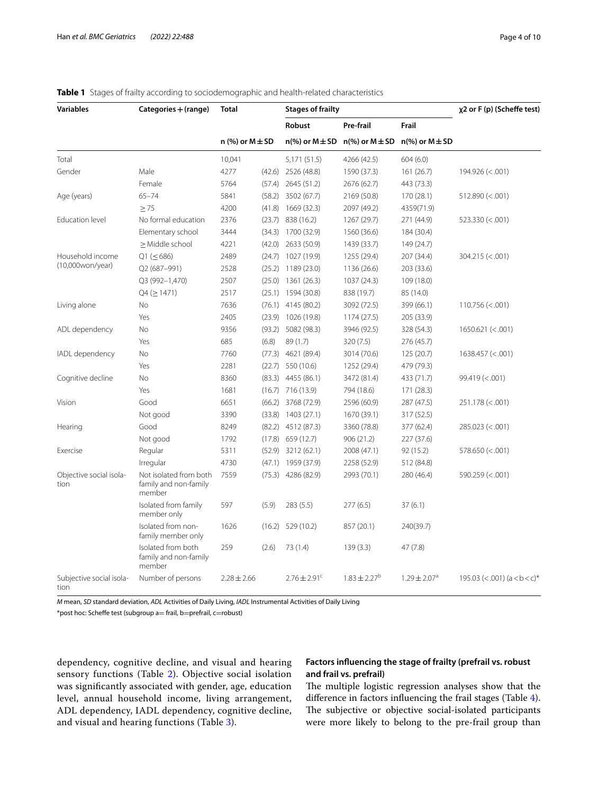| <b>Variables</b>                 | Categories + (range)                                      | Total               |        | <b>Stages of frailty</b>         | χ2 or F (p) (Scheffe test)       |                                  |                                |
|----------------------------------|-----------------------------------------------------------|---------------------|--------|----------------------------------|----------------------------------|----------------------------------|--------------------------------|
|                                  |                                                           |                     |        | Robust                           | Pre-frail                        | Frail                            |                                |
|                                  |                                                           | n (%) or $M \pm SD$ |        | $n$ <sup>(%)</sup> or M $\pm$ SD | $n$ <sup>(%)</sup> or M $\pm$ SD | $n$ <sup>(%)</sup> or M $\pm$ SD |                                |
| Total                            |                                                           | 10,041              |        | 5,171 (51.5)                     | 4266 (42.5)                      | 604(6.0)                         |                                |
| Gender                           | Male                                                      | 4277                | (42.6) | 2526 (48.8)                      | 1590 (37.3)                      | 161(26.7)                        | $194.926 \approx 0.001$        |
|                                  | Female                                                    | 5764                | (57.4) | 2645 (51.2)                      | 2676 (62.7)                      | 443 (73.3)                       |                                |
| Age (years)                      | $65 - 74$                                                 | 5841                | (58.2) | 3502 (67.7)                      | 2169 (50.8)                      | 170 (28.1)                       | $512.890 \le 0.001$            |
|                                  | $\geq$ 75                                                 | 4200                | (41.8) | 1669 (32.3)                      | 2097 (49.2)                      | 4359(71.9)                       |                                |
| <b>Education level</b>           | No formal education                                       | 2376                | (23.7) | 838 (16.2)                       | 1267 (29.7)                      | 271 (44.9)                       | $523.330 \le 0.001$            |
|                                  | Elementary school                                         | 3444                | (34.3) | 1700 (32.9)                      | 1560 (36.6)                      | 184 (30.4)                       |                                |
|                                  | $\geq$ Middle school                                      | 4221                | (42.0) | 2633 (50.9)                      | 1439 (33.7)                      | 149 (24.7)                       |                                |
| Household income                 | $Q1 (\leq 686)$                                           | 2489                | (24.7) | 1027 (19.9)                      | 1255 (29.4)                      | 207 (34.4)                       | $304.215 \approx 0.001$        |
| (10,000won/year)                 | Q2 (687-991)                                              | 2528                | (25.2) | 1189 (23.0)                      | 1136 (26.6)                      | 203 (33.6)                       |                                |
|                                  | Q3 (992-1,470)                                            | 2507                | (25.0) | 1361 (26.3)                      | 1037 (24.3)                      | 109 (18.0)                       |                                |
|                                  | $Q4 ( \geq 1471)$                                         | 2517                | (25.1) | 1594 (30.8)                      | 838 (19.7)                       | 85 (14.0)                        |                                |
| Living alone                     | No                                                        | 7636                |        | $(76.1)$ 4145 $(80.2)$           | 3092 (72.5)                      | 399 (66.1)                       | $110.756 \approx 001$          |
|                                  | Yes                                                       | 2405                | (23.9) | 1026 (19.8)                      | 1174 (27.5)                      | 205 (33.9)                       |                                |
| ADL dependency                   | No                                                        | 9356                | (93.2) | 5082 (98.3)                      | 3946 (92.5)                      | 328 (54.3)                       | $1650.621 \le 0.001$           |
|                                  | Yes                                                       | 685                 | (6.8)  | 89 (1.7)                         | 320 (7.5)                        | 276 (45.7)                       |                                |
| IADL dependency                  | <b>No</b>                                                 | 7760                | (77.3) | 4621 (89.4)                      | 3014 (70.6)                      | 125(20.7)                        | $1638.457 \approx 0.001$       |
|                                  | Yes                                                       | 2281                | (22.7) | 550 (10.6)                       | 1252 (29.4)                      | 479 (79.3)                       |                                |
| Cognitive decline                | No                                                        | 8360                | (83.3) | 4455 (86.1)                      | 3472 (81.4)                      | 433 (71.7)                       | $99.419 \ (< .001)$            |
|                                  | Yes                                                       | 1681                |        | $(16.7)$ 716 $(13.9)$            | 794 (18.6)                       | 171 (28.3)                       |                                |
| Vision                           | Good                                                      | 6651                | (66.2) | 3768 (72.9)                      | 2596 (60.9)                      | 287 (47.5)                       | $251.178 \ (< 001$             |
|                                  | Not good                                                  | 3390                | (33.8) | 1403 (27.1)                      | 1670 (39.1)                      | 317 (52.5)                       |                                |
| Hearing                          | Good                                                      | 8249                | (82.2) | 4512 (87.3)                      | 3360 (78.8)                      | 377 (62.4)                       | $285.023 \le 0.001$            |
|                                  | Not good                                                  | 1792                | (17.8) | 659 (12.7)                       | 906(21.2)                        | 227 (37.6)                       |                                |
| Exercise                         | Regular                                                   | 5311                | (52.9) | 3212 (62.1)                      | 2008 (47.1)                      | 92 (15.2)                        | $578.650 \ (< .001)$           |
|                                  | Irregular                                                 | 4730                | (47.1) | 1959 (37.9)                      | 2258 (52.9)                      | 512 (84.8)                       |                                |
| Objective social isola-<br>tion  | Not isolated from both<br>family and non-family<br>member | 7559                | (75.3) | 4286 (82.9)                      | 2993 (70.1)                      | 280 (46.4)                       | $590.259 \ (< 001$             |
|                                  | Isolated from family<br>member only                       | 597                 | (5.9)  | 283(5.5)                         | 277 (6.5)                        | 37(6.1)                          |                                |
|                                  | Isolated from non-<br>family member only                  | 1626                | (16.2) | 529 (10.2)                       | 857 (20.1)                       | 240(39.7)                        |                                |
|                                  | Isolated from both<br>family and non-family<br>member     | 259                 | (2.6)  | 73 (1.4)                         | 139(3.3)                         | 47(7.8)                          |                                |
| Subjective social isola-<br>tion | Number of persons                                         | $2.28 \pm 2.66$     |        | $2.76 \pm 2.91$ <sup>c</sup>     | $1.83 \pm 2.27^b$                | $1.29 \pm 2.07$ <sup>a</sup>     | 195.03 (<.001) $(a < b < c)^*$ |

## <span id="page-3-0"></span>**Table 1** Stages of frailty according to sociodemographic and health-related characteristics

*M* mean, *SD* standard deviation, *ADL* Activities of Daily Living, *IADL* Instrumental Activities of Daily Living

\*post hoc: Schefe test (subgroup a= frail, b=prefrail, c=robust)

dependency, cognitive decline, and visual and hearing sensory functions (Table [2](#page-4-0)). Objective social isolation was signifcantly associated with gender, age, education level, annual household income, living arrangement, ADL dependency, IADL dependency, cognitive decline, and visual and hearing functions (Table [3](#page-5-0)).

## **Factors infuencing the stage of frailty (prefrail vs. robust and frail vs. prefrail)**

The multiple logistic regression analyses show that the diference in factors infuencing the frail stages (Table [4](#page-6-0)). The subjective or objective social-isolated participants were more likely to belong to the pre-frail group than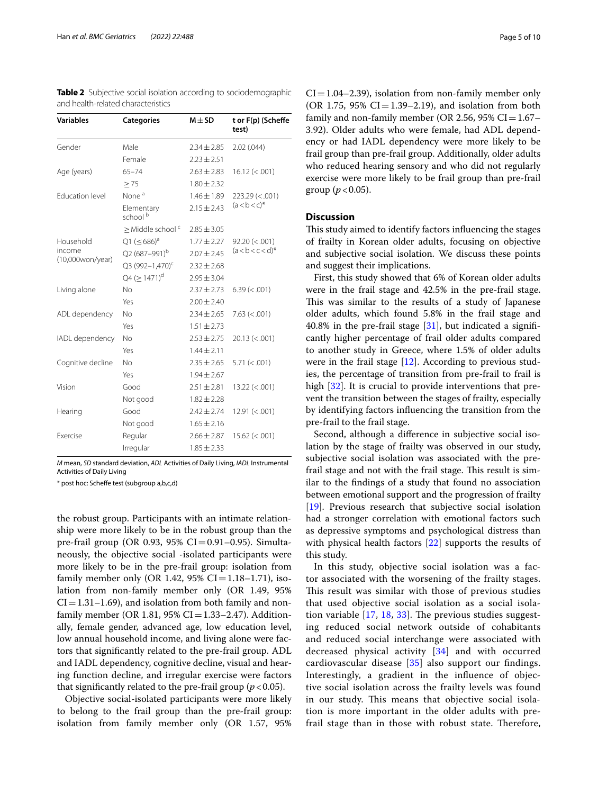| <b>Variables</b>       | <b>Categories</b>                 | $M + SD$        | t or F(p) (Scheffe<br>test) |
|------------------------|-----------------------------------|-----------------|-----------------------------|
| Gender                 | Male                              | $2.34 \pm 2.85$ | 2.02(.044)                  |
|                        | Female                            | $2.23 \pm 2.51$ |                             |
| Age (years)            | $65 - 74$                         | $2.63 \pm 2.83$ | $16.12 \, (< .001)$         |
|                        | > 75                              | $1.80 \pm 2.32$ |                             |
| <b>Education level</b> | None <sup>a</sup>                 | $1.46 \pm 1.89$ | $223.29 \le 0.001$          |
|                        | Elementary<br>school <sup>b</sup> | $2.15 \pm 2.43$ | $(a < b < c)^*$             |
|                        | $\geq$ Middle school <sup>c</sup> | $2.85 \pm 3.05$ |                             |
| Household              | $Q1 (\leq 686)^a$                 | $1.77 \pm 2.27$ | $92.20 \le 0.001$           |
| income                 | Q2 (687-991) <sup>b</sup>         | $2.07 + 2.45$   | $(a < b < c < d)^*$         |
| (10,000won/year)       | Q3 (992-1,470) <sup>c</sup>       | $2.32 \pm 2.68$ |                             |
|                        | $Q4 (> 1471)^d$                   | $2.95 + 3.04$   |                             |
| Living alone           | Nο                                | $2.37 + 2.73$   | $6.39 \ (< .001)$           |
|                        | Yes                               | $2.00 \pm 2.40$ |                             |
| ADL dependency         | No                                | $2.34 \pm 2.65$ | 7.63 (< .001)               |
|                        | Yes                               | $1.51 \pm 2.73$ |                             |
| IADL dependency        | <b>No</b>                         | $2.53 \pm 2.75$ | $20.13 \le 0.001$           |
|                        | Yes                               | $1.44 + 2.11$   |                             |
| Cognitive decline      | No                                | $2.35 \pm 2.65$ | 5.71 (< .001)               |
|                        | Yes                               | $1.94 \pm 2.67$ |                             |
| Vision                 | Good                              | $2.51 \pm 2.81$ | $13.22 \le 0.001$           |
|                        | Not good                          | $1.82 \pm 2.28$ |                             |
| Hearing                | Good                              | $2.42 \pm 2.74$ | 12.91 (< .001)              |
|                        | Not good                          | $1.65 \pm 2.16$ |                             |
| Exercise               | Regular                           | $2.66 \pm 2.87$ | $15.62 \ (< .001)$          |
|                        | Irregular                         | $1.85 \pm 2.33$ |                             |
|                        |                                   |                 |                             |

<span id="page-4-0"></span>**Table 2** Subjective social isolation according to sociodemographic and health-related characteristics

*M* mean, *SD* standard deviation, *ADL* Activities of Daily Living, *IADL* Instrumental Activities of Daily Living

\* post hoc: Schefe test (subgroup a,b,c,d)

the robust group. Participants with an intimate relationship were more likely to be in the robust group than the pre-frail group (OR 0.93,  $95\%$  CI=0.91-0.95). Simultaneously, the objective social -isolated participants were more likely to be in the pre-frail group: isolation from family member only (OR 1.42,  $95\%$  CI = 1.18–1.71), isolation from non-family member only (OR 1.49, 95%  $CI = 1.31-1.69$ , and isolation from both family and nonfamily member (OR 1.81,  $95\%$  CI = 1.33–2.47). Additionally, female gender, advanced age, low education level, low annual household income, and living alone were factors that signifcantly related to the pre-frail group. ADL and IADL dependency, cognitive decline, visual and hearing function decline, and irregular exercise were factors that significantly related to the pre-frail group  $(p < 0.05)$ .

Objective social-isolated participants were more likely to belong to the frail group than the pre-frail group: isolation from family member only (OR 1.57, 95%

 $CI = 1.04-2.39$ ), isolation from non-family member only (OR 1.75,  $95\%$  CI = 1.39–2.19), and isolation from both family and non-family member (OR 2.56, 95%  $CI = 1.67-$ 3.92). Older adults who were female, had ADL dependency or had IADL dependency were more likely to be frail group than pre-frail group. Additionally, older adults who reduced hearing sensory and who did not regularly exercise were more likely to be frail group than pre-frail group ( $p < 0.05$ ).

## **Discussion**

This study aimed to identify factors influencing the stages of frailty in Korean older adults, focusing on objective and subjective social isolation. We discuss these points and suggest their implications.

First, this study showed that 6% of Korean older adults were in the frail stage and 42.5% in the pre-frail stage. This was similar to the results of a study of Japanese older adults, which found 5.8% in the frail stage and 40.8% in the pre-frail stage  $[31]$  $[31]$ , but indicated a significantly higher percentage of frail older adults compared to another study in Greece, where 1.5% of older adults were in the frail stage [[12](#page-8-12)]. According to previous studies, the percentage of transition from pre-frail to frail is high [\[32](#page-8-29)]. It is crucial to provide interventions that prevent the transition between the stages of frailty, especially by identifying factors infuencing the transition from the pre-frail to the frail stage.

Second, although a diference in subjective social isolation by the stage of frailty was observed in our study, subjective social isolation was associated with the prefrail stage and not with the frail stage. This result is similar to the fndings of a study that found no association between emotional support and the progression of frailty [[19\]](#page-8-30). Previous research that subjective social isolation had a stronger correlation with emotional factors such as depressive symptoms and psychological distress than with physical health factors [[22\]](#page-8-18) supports the results of this study.

In this study, objective social isolation was a factor associated with the worsening of the frailty stages. This result was similar with those of previous studies that used objective social isolation as a social isolation variable  $[17, 18, 33]$  $[17, 18, 33]$  $[17, 18, 33]$  $[17, 18, 33]$  $[17, 18, 33]$  $[17, 18, 33]$ . The previous studies suggesting reduced social network outside of cohabitants and reduced social interchange were associated with decreased physical activity [[34](#page-9-1)] and with occurred cardiovascular disease [[35](#page-9-2)] also support our fndings. Interestingly, a gradient in the infuence of objective social isolation across the frailty levels was found in our study. This means that objective social isolation is more important in the older adults with prefrail stage than in those with robust state. Therefore,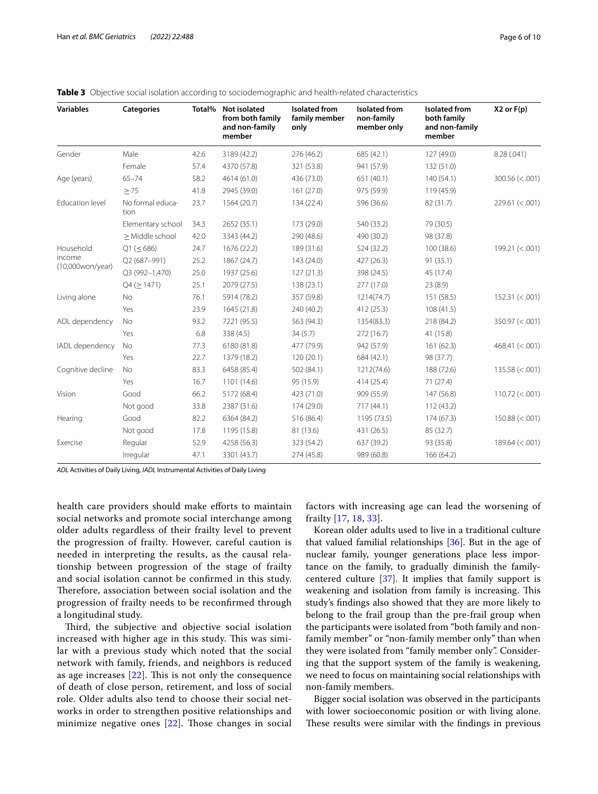| <b>Variables</b>  | <b>Categories</b>        | Total% | <b>Not isolated</b><br>from both family<br>and non-family<br>member | <b>Isolated from</b><br>family member<br>only | <b>Isolated from</b><br>non-family<br>member only | <b>Isolated from</b><br>both family<br>and non-family<br>member | $X2$ or $F(p)$      |
|-------------------|--------------------------|--------|---------------------------------------------------------------------|-----------------------------------------------|---------------------------------------------------|-----------------------------------------------------------------|---------------------|
| Gender            | Male                     | 42.6   | 3189 (42.2)                                                         | 276 (46.2)                                    | 685 (42.1)                                        | 127 (49.0)                                                      | 8.28(.041)          |
|                   | Female                   | 57.4   | 4370 (57.8)                                                         | 321 (53.8)                                    | 941 (57.9)                                        | 132 (51.0)                                                      |                     |
| Age (years)       | $65 - 74$                | 58.2   | 4614 (61.0)                                                         | 436 (73.0)                                    | 651 (40.1)                                        | 140(54.1)                                                       | $300.56 \ (< .001)$ |
|                   | $\geq$ 75                | 41.8   | 2945 (39.0)                                                         | 161 (27.0)                                    | 975 (59.9)                                        | 119 (45.9)                                                      |                     |
| Education level   | No formal educa-<br>tion | 23.7   | 1564 (20.7)                                                         | 134 (22.4)                                    | 596 (36.6)                                        | 82 (31.7)                                                       | 229.61 (< .001)     |
|                   | Elementary school        | 34.3   | 2652 (35.1)                                                         | 173 (29.0)                                    | 540 (33.2)                                        | 79 (30.5)                                                       |                     |
|                   | > Middle school          | 42.0   | 3343 (44.2)                                                         | 290 (48.6)                                    | 490 (30.2)                                        | 98 (37.8)                                                       |                     |
| Household         | $Q1 (\leq 686)$          | 24.7   | 1676 (22.2)                                                         | 189 (31.6)                                    | 524 (32.2)                                        | 100 (38.6)                                                      | 199.21 (< .001)     |
| income            | Q2 (687-991)             | 25.2   | 1867 (24.7)                                                         | 143 (24.0)                                    | 427 (26.3)                                        | 91 (35.1)                                                       |                     |
| (10,000won/year)  | Q3 (992-1,470)           | 25.0   | 1937 (25.6)                                                         | 127(21.3)                                     | 398 (24.5)                                        | 45 (17.4)                                                       |                     |
|                   | Q4 (> 1471)              | 25.1   | 2079 (27.5)                                                         | 138 (23.1)                                    | 277 (17.0)                                        | 23(8.9)                                                         |                     |
| Living alone      | <b>No</b>                | 76.1   | 5914 (78.2)                                                         | 357 (59.8)                                    | 1214(74.7)                                        | 151 (58.5)                                                      | 152.31 (< .001)     |
|                   | Yes                      | 23.9   | 1645 (21.8)                                                         | 240 (40.2)                                    | 412 (25.3)                                        | 108(41.5)                                                       |                     |
| ADL dependency    | No                       | 93.2   | 7221 (95.5)                                                         | 563 (94.3)                                    | 1354(83.3)                                        | 218 (84.2)                                                      | 350.97 (< .001)     |
|                   | Yes                      | 6.8    | 338 (4.5)                                                           | 34(5.7)                                       | 272 (16.7)                                        | 41 (15.8)                                                       |                     |
| IADL dependency   | <b>No</b>                | 77.3   | 6180 (81.8)                                                         | 477 (79.9)                                    | 942 (57.9)                                        | 161(62.3)                                                       | 468.41 (< .001)     |
|                   | Yes                      | 22.7   | 1379 (18.2)                                                         | 120 (20.1)                                    | 684 (42.1)                                        | 98 (37.7)                                                       |                     |
| Cognitive decline | <b>No</b>                | 83.3   | 6458 (85.4)                                                         | 502 (84.1)                                    | 1212(74.6)                                        | 188 (72.6)                                                      | $135.58 \ (< 001$   |
|                   | Yes                      | 16.7   | 1101 (14.6)                                                         | 95 (15.9)                                     | 414 (25.4)                                        | 71(27.4)                                                        |                     |
| Vision            | Good                     | 66.2   | 5172 (68.4)                                                         | 423 (71.0)                                    | 909 (55.9)                                        | 147 (56.8)                                                      | $110.72 \le 0.001$  |
|                   | Not good                 | 33.8   | 2387 (31.6)                                                         | 174 (29.0)                                    | 717(44.1)                                         | 112 (43.2)                                                      |                     |
| Hearing           | Good                     | 82.2   | 6364 (84.2)                                                         | 516 (86.4)                                    | 1195 (73.5)                                       | 174 (67.3)                                                      | $150.88 \ (< .001)$ |
|                   | Not good                 | 17.8   | 1195 (15.8)                                                         | 81 (13.6)                                     | 431 (26.5)                                        | 85 (32.7)                                                       |                     |
| Exercise          | Regular                  | 52.9   | 4258 (56.3)                                                         | 323 (54.2)                                    | 637 (39.2)                                        | 93 (35.8)                                                       | $189.64 \ (< .001)$ |
|                   | Irregular                | 47.1   | 3301 (43.7)                                                         | 274 (45.8)                                    | 989 (60.8)                                        | 166 (64.2)                                                      |                     |

<span id="page-5-0"></span>

| Table 3 Objective social isolation according to sociodemographic and health-related characteristics |  |  |  |
|-----------------------------------------------------------------------------------------------------|--|--|--|
|                                                                                                     |  |  |  |

*ADL* Activities of Daily Living, *IADL* Instrumental Activities of Daily Living

health care providers should make efforts to maintain social networks and promote social interchange among older adults regardless of their frailty level to prevent the progression of frailty. However, careful caution is needed in interpreting the results, as the causal relationship between progression of the stage of frailty and social isolation cannot be confrmed in this study. Therefore, association between social isolation and the progression of frailty needs to be reconfrmed through a longitudinal study.

Third, the subjective and objective social isolation increased with higher age in this study. This was similar with a previous study which noted that the social network with family, friends, and neighbors is reduced as age increases  $[22]$  $[22]$  $[22]$ . This is not only the consequence of death of close person, retirement, and loss of social role. Older adults also tend to choose their social networks in order to strengthen positive relationships and minimize negative ones  $[22]$  $[22]$  $[22]$ . Those changes in social factors with increasing age can lead the worsening of frailty [[17,](#page-8-15) [18,](#page-8-21) [33\]](#page-9-0).

Korean older adults used to live in a traditional culture that valued familial relationships  $[36]$  $[36]$ . But in the age of nuclear family, younger generations place less importance on the family, to gradually diminish the familycentered culture [\[37\]](#page-9-4). It implies that family support is weakening and isolation from family is increasing. This study's fndings also showed that they are more likely to belong to the frail group than the pre-frail group when the participants were isolated from "both family and nonfamily member" or "non-family member only" than when they were isolated from "family member only". Considering that the support system of the family is weakening, we need to focus on maintaining social relationships with non-family members.

Bigger social isolation was observed in the participants with lower socioeconomic position or with living alone. These results were similar with the findings in previous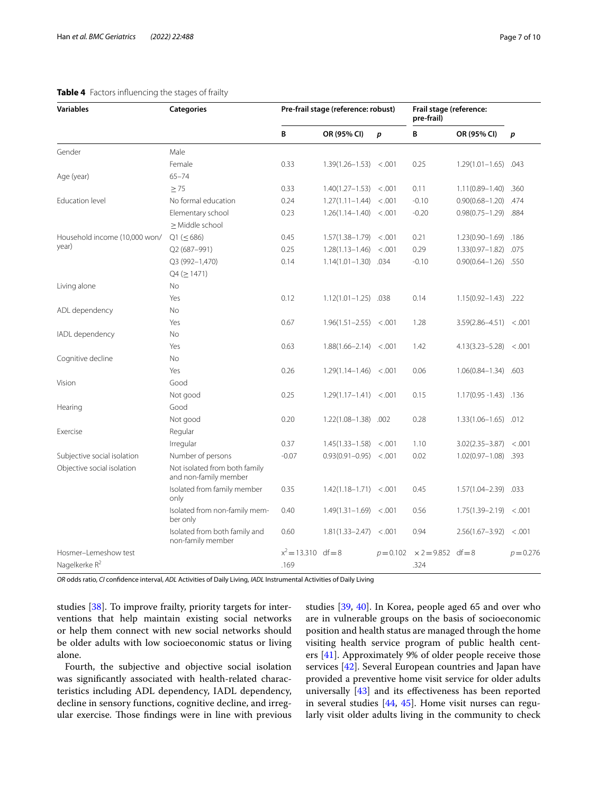| <b>Variables</b>              | <b>Categories</b>                                      | Pre-frail stage (reference: robust) |                             |                  | Frail stage (reference:<br>pre-frail) |                            |                  |
|-------------------------------|--------------------------------------------------------|-------------------------------------|-----------------------------|------------------|---------------------------------------|----------------------------|------------------|
|                               |                                                        | B                                   | OR (95% CI)                 | $\boldsymbol{p}$ | В                                     | OR (95% CI)                | $\boldsymbol{p}$ |
| Gender                        | Male                                                   |                                     |                             |                  |                                       |                            |                  |
|                               | Female                                                 | 0.33                                | $1.39(1.26 - 1.53) < .001$  |                  | 0.25                                  | $1.29(1.01 - 1.65)$ .043   |                  |
| Age (year)                    | $65 - 74$                                              |                                     |                             |                  |                                       |                            |                  |
|                               | $\geq$ 75                                              | 0.33                                | $1.40(1.27-1.53) < .001$    |                  | 0.11                                  | $1.11(0.89 - 1.40)$        | .360             |
| Education level               | No formal education                                    | 0.24                                | $1.27(1.11 - 1.44)$         | < .001           | $-0.10$                               | $0.90(0.68 - 1.20)$        | .474             |
|                               | Elementary school<br>$\geq$ Middle school              | 0.23                                | $1.26(1.14 - 1.40)$         | < .001           | $-0.20$                               | $0.98(0.75 - 1.29)$ .884   |                  |
| Household income (10,000 won/ | $Q1 (\leq 686)$                                        | 0.45                                | $1.57(1.38 - 1.79) < .001$  |                  | 0.21                                  | 1.23(0.90-1.69) .186       |                  |
| year)                         | Q2 (687-991)                                           | 0.25                                | $1.28(1.13 - 1.46)$         | < .001           | 0.29                                  | $1.33(0.97 - 1.82)$        | .075             |
|                               | Q3 (992-1,470)<br>$Q4 ( \geq 1471)$                    | 0.14                                | $1.14(1.01 - 1.30)$ .034    |                  | $-0.10$                               | $0.90(0.64 - 1.26)$ .550   |                  |
| Living alone                  | No                                                     |                                     |                             |                  |                                       |                            |                  |
|                               | Yes                                                    | 0.12                                | $1.12(1.01 - 1.25)$ .038    |                  | 0.14                                  | $1.15(0.92 - 1.43)$ .222   |                  |
| ADL dependency                | No                                                     |                                     |                             |                  |                                       |                            |                  |
|                               | Yes                                                    | 0.67                                | $1.96(1.51 - 2.55) < 0.001$ |                  | 1.28                                  | $3.59(2.86 - 4.51) < .001$ |                  |
| IADL dependency               | No                                                     |                                     |                             |                  |                                       |                            |                  |
|                               | Yes                                                    | 0.63                                | $1.88(1.66 - 2.14) < .001$  |                  | 1.42                                  | $4.13(3.23 - 5.28)$        | < .001           |
| Cognitive decline             | No                                                     |                                     |                             |                  |                                       |                            |                  |
|                               | Yes                                                    | 0.26                                | $1.29(1.14-1.46) < .001$    |                  | 0.06                                  | $1.06(0.84 - 1.34)$        | .603             |
| Vision                        | Good                                                   |                                     |                             |                  |                                       |                            |                  |
|                               | Not good                                               | 0.25                                | $1.29(1.17-1.41) < .001$    |                  | 0.15                                  | 1.17(0.95 - 1.43) .136     |                  |
| Hearing                       | Good                                                   |                                     |                             |                  |                                       |                            |                  |
|                               | Not good                                               | 0.20                                | 1.22(1.08-1.38) .002        |                  | 0.28                                  | 1.33(1.06-1.65) .012       |                  |
| Exercise                      | Regular                                                |                                     |                             |                  |                                       |                            |                  |
|                               | Irregular                                              | 0.37                                | $1.45(1.33-1.58) < .001$    |                  | 1.10                                  | $3.02(2.35 - 3.87)$        | < 0.001          |
| Subjective social isolation   | Number of persons                                      | $-0.07$                             | $0.93(0.91 - 0.95) < 0.001$ |                  | 0.02                                  | 1.02(0.97-1.08) .393       |                  |
| Objective social isolation    | Not isolated from both family<br>and non-family member |                                     |                             |                  |                                       |                            |                  |
|                               | Isolated from family member<br>only                    | 0.35                                | $1.42(1.18-1.71) < .001$    |                  | 0.45                                  | 1.57(1.04-2.39) .033       |                  |
|                               | Isolated from non-family mem-<br>ber only              | 0.40                                | $1.49(1.31-1.69) < .001$    |                  | 0.56                                  | $1.75(1.39 - 2.19)$        | < 0.001          |
|                               | Isolated from both family and<br>non-family member     | 0.60                                | $1.81(1.33 - 2.47) < .001$  |                  | 0.94                                  | $2.56(1.67 - 3.92)$        | < .001           |
| Hosmer-Lemeshow test          |                                                        | $x^2 = 13.310$ df = 8               |                             | $p = 0.102$      | $x^2 = 9.852$                         | $df = 8$                   | $p = 0.276$      |
| Nagelkerke $R^2$              |                                                        | .169                                |                             |                  | .324                                  |                            |                  |

## <span id="page-6-0"></span>**Table 4** Factors infuencing the stages of frailty

*OR* odds ratio, *CI* confdence interval, *ADL* Activities of Daily Living, *IADL* Instrumental Activities of Daily Living

studies [\[38](#page-9-5)]. To improve frailty, priority targets for interventions that help maintain existing social networks or help them connect with new social networks should be older adults with low socioeconomic status or living alone.

Fourth, the subjective and objective social isolation was signifcantly associated with health-related characteristics including ADL dependency, IADL dependency, decline in sensory functions, cognitive decline, and irregular exercise. Those findings were in line with previous studies [[39,](#page-9-6) [40\]](#page-9-7). In Korea, people aged 65 and over who are in vulnerable groups on the basis of socioeconomic position and health status are managed through the home visiting health service program of public health centers [[41\]](#page-9-8). Approximately 9% of older people receive those services [\[42\]](#page-9-9). Several European countries and Japan have provided a preventive home visit service for older adults universally [[43\]](#page-9-10) and its efectiveness has been reported in several studies [[44,](#page-9-11) [45](#page-9-12)]. Home visit nurses can regularly visit older adults living in the community to check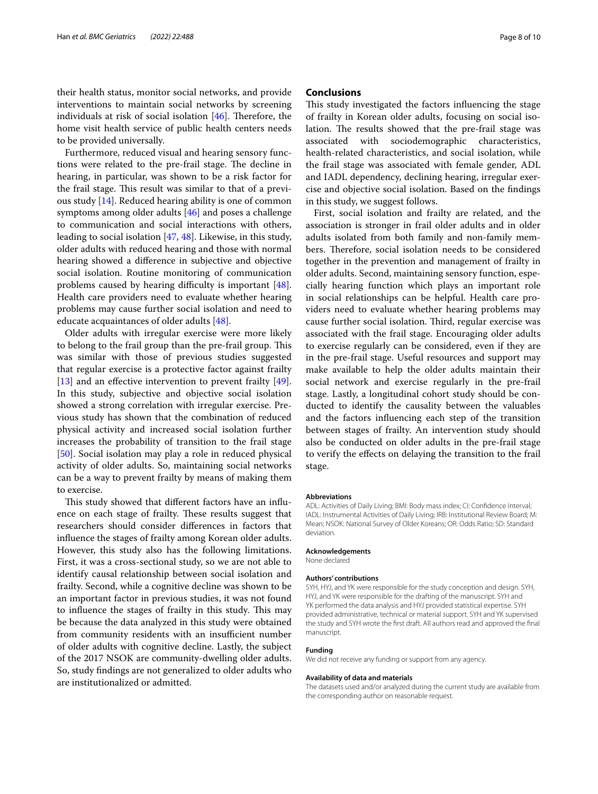their health status, monitor social networks, and provide interventions to maintain social networks by screening individuals at risk of social isolation  $[46]$  $[46]$ . Therefore, the home visit health service of public health centers needs to be provided universally.

Furthermore, reduced visual and hearing sensory functions were related to the pre-frail stage. The decline in hearing, in particular, was shown to be a risk factor for the frail stage. This result was similar to that of a previous study [[14\]](#page-8-13). Reduced hearing ability is one of common symptoms among older adults [\[46](#page-9-13)] and poses a challenge to communication and social interactions with others, leading to social isolation [\[47,](#page-9-14) [48](#page-9-15)]. Likewise, in this study, older adults with reduced hearing and those with normal hearing showed a diference in subjective and objective social isolation. Routine monitoring of communication problems caused by hearing difficulty is important  $[48]$  $[48]$ . Health care providers need to evaluate whether hearing problems may cause further social isolation and need to educate acquaintances of older adults [[48\]](#page-9-15).

Older adults with irregular exercise were more likely to belong to the frail group than the pre-frail group. This was similar with those of previous studies suggested that regular exercise is a protective factor against frailty [[13\]](#page-8-11) and an effective intervention to prevent frailty [\[49](#page-9-16)]. In this study, subjective and objective social isolation showed a strong correlation with irregular exercise. Previous study has shown that the combination of reduced physical activity and increased social isolation further increases the probability of transition to the frail stage [[50\]](#page-9-17). Social isolation may play a role in reduced physical activity of older adults. So, maintaining social networks can be a way to prevent frailty by means of making them to exercise.

This study showed that different factors have an influence on each stage of frailty. These results suggest that researchers should consider diferences in factors that infuence the stages of frailty among Korean older adults. However, this study also has the following limitations. First, it was a cross-sectional study, so we are not able to identify causal relationship between social isolation and frailty. Second, while a cognitive decline was shown to be an important factor in previous studies, it was not found to influence the stages of frailty in this study. This may be because the data analyzed in this study were obtained from community residents with an insufficient number of older adults with cognitive decline. Lastly, the subject of the 2017 NSOK are community-dwelling older adults. So, study fndings are not generalized to older adults who are institutionalized or admitted.

## **Conclusions**

This study investigated the factors influencing the stage of frailty in Korean older adults, focusing on social isolation. The results showed that the pre-frail stage was associated with sociodemographic characteristics, health-related characteristics, and social isolation, while the frail stage was associated with female gender, ADL and IADL dependency, declining hearing, irregular exercise and objective social isolation. Based on the fndings in this study, we suggest follows.

First, social isolation and frailty are related, and the association is stronger in frail older adults and in older adults isolated from both family and non-family members. Therefore, social isolation needs to be considered together in the prevention and management of frailty in older adults. Second, maintaining sensory function, especially hearing function which plays an important role in social relationships can be helpful. Health care providers need to evaluate whether hearing problems may cause further social isolation. Third, regular exercise was associated with the frail stage. Encouraging older adults to exercise regularly can be considered, even if they are in the pre-frail stage. Useful resources and support may make available to help the older adults maintain their social network and exercise regularly in the pre-frail stage. Lastly, a longitudinal cohort study should be conducted to identify the causality between the valuables and the factors infuencing each step of the transition between stages of frailty. An intervention study should also be conducted on older adults in the pre-frail stage to verify the efects on delaying the transition to the frail stage.

#### **Abbreviations**

ADL: Activities of Daily Living; BMI: Body mass index; CI: Confdence Interval; IADL: Instrumental Activities of Daily Living; IRB: Institutional Review Board; M: Mean; NSOK: National Survey of Older Koreans; OR: Odds Ratio; SD: Standard deviation

#### **Acknowledgements**

None declared

#### **Authors' contributions**

SYH, HYJ, and YK were responsible for the study conception and design. SYH, HYJ, and YK were responsible for the drafting of the manuscript. SYH and YK performed the data analysis and HYJ provided statistical expertise. SYH provided administrative, technical or material support. SYH and YK supervised the study and SYH wrote the frst draft. All authors read and approved the fnal manuscript.

#### **Funding**

We did not receive any funding or support from any agency.

#### **Availability of data and materials**

The datasets used and/or analyzed during the current study are available from the corresponding author on reasonable request.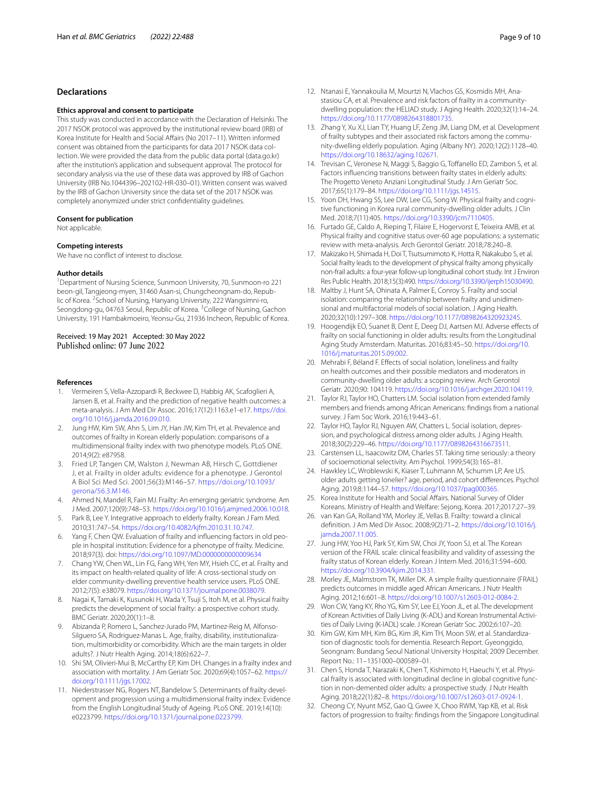## **Declarations**

#### **Ethics approval and consent to participate**

This study was conducted in accordance with the Declaration of Helsinki. The 2017 NSOK protocol was approved by the institutional review board (IRB) of Korea Institute for Health and Social Afairs (No 2017–11). Written informed consent was obtained from the participants for data 2017 NSOK data collection. We were provided the data from the public data portal (data.go.kr) after the institution's application and subsequent approval. The protocol for secondary analysis via the use of these data was approved by IRB of Gachon University (IRB No.1044396–202102-HR-030–01). Written consent was waived by the IRB of Gachon University since the data set of the 2017 NSOK was completely anonymized under strict confdentiality guidelines.

#### **Consent for publication**

Not applicable.

#### **Competing interests**

We have no conflict of interest to disclose.

#### **Author details**

<sup>1</sup> Department of Nursing Science, Sunmoon University, 70, Sunmoon-ro 221 beon-gil, Tangjeong-myen, 31460 Asan-si, Chungcheongnam-do, Republic of Korea. <sup>2</sup> School of Nursing, Hanyang University, 222 Wangsimni-ro, Seongdong-gu, 04763 Seoul, Republic of Korea. <sup>3</sup>College of Nursing, Gachon University, 191 Hambakmoeiro, Yeonsu-Gu, 21936 Incheon, Republic of Korea.

#### Received: 19 May 2021 Accepted: 30 May 2022 Published online: 07 June 2022

#### **References**

- <span id="page-8-0"></span>1. Vermeiren S, Vella-Azzopardi R, Beckwee D, Habbig AK, Scafoglieri A, Jansen B, et al. Frailty and the prediction of negative health outcomes: a meta-analysis. J Am Med Dir Assoc. 2016;17(12):1163.e1-e17. [https://doi.](https://doi.org/10.1016/j.jamda.2016.09.010) [org/10.1016/j.jamda.2016.09.010.](https://doi.org/10.1016/j.jamda.2016.09.010)
- <span id="page-8-1"></span>2. Jung HW, Kim SW, Ahn S, Lim JY, Han JW, Kim TH, et al. Prevalence and outcomes of frailty in Korean elderly population: comparisons of a multidimensional frailty index with two phenotype models. PLoS ONE. 2014;9(2): e87958.
- <span id="page-8-2"></span>3. Fried LP, Tangen CM, Walston J, Newman AB, Hirsch C, Gottdiener J, et al. Frailty in older adults: evidence for a phenotype. J Gerontol A Biol Sci Med Sci. 2001;56(3):M146–57. [https://doi.org/10.1093/](https://doi.org/10.1093/gerona/56.3.M146) [gerona/56.3.M146.](https://doi.org/10.1093/gerona/56.3.M146)
- <span id="page-8-3"></span>4. Ahmed N, Mandel R, Fain MJ. Frailty: An emerging geriatric syndrome. Am J Med. 2007;120(9):748–53.<https://doi.org/10.1016/j.amjmed.2006.10.018>.
- <span id="page-8-4"></span>5. Park B, Lee Y. Integrative approach to elderly frailty. Korean J Fam Med. 2010;31:747–54.<https://doi.org/10.4082/kjfm.2010.31.10.747>.
- <span id="page-8-5"></span>6. Yang F, Chen QW. Evaluation of frailty and infuencing factors in old people in hospital institution: Evidence for a phenotype of frailty. Medicine. 2018;97(3). doi:<https://doi.org/10.1097/MD.0000000000009634>
- <span id="page-8-6"></span>7. Chang YW, Chen WL, Lin FG, Fang WH, Yen MY, Hsieh CC, et al. Frailty and its impact on health-related quality of life: A cross-sectional study on elder community-dwelling preventive health service users. PLoS ONE. 2012;7(5): e38079. <https://doi.org/10.1371/journal.pone.0038079>.
- <span id="page-8-7"></span>8. Nagai K, Tamaki K, Kusunoki H, Wada Y, Tsuji S, Itoh M, et al. Physical frailty predicts the development of social frailty: a prospective cohort study. BMC Geriatr. 2020;20(1):1–8.
- <span id="page-8-8"></span>9. Abizanda P, Romero L, Sanchez-Jurado PM, Martinez-Reig M, Alfonso-Silguero SA, Rodriguez-Manas L. Age, frailty, disability, institutionalization, multimorbidity or comorbidity. Which are the main targets in older adults?. J Nutr Health Aging. 2014;18(6):622–7.
- <span id="page-8-9"></span>10. Shi SM, Olivieri-Mui B, McCarthy EP, Kim DH. Changes in a frailty index and association with mortality. J Am Geriatr Soc. 2020;69(4):1057–62. [https://](https://doi.org/10.1111/jgs.17002) [doi.org/10.1111/jgs.17002](https://doi.org/10.1111/jgs.17002).
- <span id="page-8-10"></span>11. Niederstrasser NG, Rogers NT, Bandelow S. Determinants of frailty development and progression using a multidimensional frailty index: Evidence from the English Longitudinal Study of Ageing. PLoS ONE. 2019;14(10): e0223799. <https://doi.org/10.1371/journal.pone.0223799>.
- <span id="page-8-12"></span>12. Ntanasi E, Yannakoulia M, Mourtzi N, Vlachos GS, Kosmidis MH, Anastasiou CA, et al. Prevalence and risk factors of frailty in a communitydwelling population: the HELIAD study. J Aging Health. 2020;32(1):14–24. <https://doi.org/10.1177/0898264318801735>.
- <span id="page-8-11"></span>13. Zhang Y, Xu XJ, Lian TY, Huang LF, Zeng JM, Liang DM, et al. Development of frailty subtypes and their associated risk factors among the community-dwelling elderly population. Aging (Albany NY). 2020;12(2):1128–40. <https://doi.org/10.18632/aging.102671>.
- <span id="page-8-13"></span>14. Trevisan C, Veronese N, Maggi S, Baggio G, Tofanello ED, Zambon S, et al. Factors infuencing transitions between frailty states in elderly adults: The Progetto Veneto Anziani Longitudinal Study. J Am Geriatr Soc. 2017;65(1):179–84. [https://doi.org/10.1111/jgs.14515.](https://doi.org/10.1111/jgs.14515)
- 15. Yoon DH, Hwang SS, Lee DW, Lee CG, Song W. Physical frailty and cognitive functioning in Korea rural community-dwelling older adults. J Clin Med. 2018;7(11):405. [https://doi.org/10.3390/jcm7110405.](https://doi.org/10.3390/jcm7110405)
- <span id="page-8-14"></span>16. Furtado GE, Caldo A, Rieping T, Filaire E, Hogervorst E, Teixeira AMB, et al. Physical frailty and cognitive status over-60 age populations: a systematic review with meta-analysis. Arch Gerontol Geriatr. 2018;78:240–8.
- <span id="page-8-15"></span>17. Makizako H, Shimada H, Doi T, Tsutsumimoto K, Hotta R, Nakakubo S, et al. Social frailty leads to the development of physical frailty among physically non-frail adults: a four-year follow-up longitudinal cohort study. Int J Environ Res Public Health. 2018;15(3):490.<https://doi.org/10.3390/ijerph15030490>.
- <span id="page-8-21"></span>18. Maltby J, Hunt SA, Ohinata A, Palmer E, Conroy S. Frailty and social isolation: comparing the relationship between frailty and unidimensional and multifactorial models of social isolation. J Aging Health. 2020;32(10):1297–308. <https://doi.org/10.1177/0898264320923245>.
- <span id="page-8-30"></span>19. Hoogendijk EO, Suanet B, Dent E, Deeg DJ, Aartsen MJ. Adverse efects of frailty on social functioning in older adults: results from the Longitudinal Aging Study Amsterdam. Maturitas. 2016;83:45–50. [https://doi.org/10.](https://doi.org/10.1016/j.maturitas.2015.09.002) [1016/j.maturitas.2015.09.002.](https://doi.org/10.1016/j.maturitas.2015.09.002)
- <span id="page-8-16"></span>20. Mehrabi F, Béland F. Effects of social isolation, loneliness and frailty on health outcomes and their possible mediators and moderators in community-dwelling older adults: a scoping review. Arch Gerontol Geriatr. 2020;90: 104119. [https://doi.org/10.1016/j.archger.2020.104119.](https://doi.org/10.1016/j.archger.2020.104119)
- <span id="page-8-17"></span>21. Taylor RJ, Taylor HO, Chatters LM. Social isolation from extended family members and friends among African Americans: fndings from a national survey. J Fam Soc Work. 2016;19:443–61.
- <span id="page-8-18"></span>22. Taylor HO, Taylor RJ, Nguyen AW, Chatters L. Social isolation, depression, and psychological distress among older adults. J Aging Health. 2018;30(2):229–46. <https://doi.org/10.1177/0898264316673511>.
- <span id="page-8-19"></span>23. Carstensen LL, Isaacowitz DM, Charles ST. Taking time seriously: a theory of socioemotional selectivity. Am Psychol. 1999;54(3):165–81.
- <span id="page-8-20"></span>24. Hawkley LC, Wroblewski K, Kiaser T, Luhmann M, Schumm LP, Are US. older adults getting lonelier? age, period, and cohort diferences. Psychol Aging. 2019;8:1144–57. [https://doi.org/10.1037/pag000365.](https://doi.org/10.1037/pag000365)
- <span id="page-8-22"></span>25. Korea Institute for Health and Social Affairs. National Survey of Older Koreans. Ministry of Health and Welfare: Sejong, Korea. 2017;2017:27–39.
- <span id="page-8-23"></span>26. van Kan GA, Rolland YM, Morley JE, Vellas B. Frailty: toward a clinical defnition. J Am Med Dir Assoc. 2008;9(2):71–2. [https://doi.org/10.1016/j.](https://doi.org/10.1016/j.jamda.2007.11.005) [jamda.2007.11.005](https://doi.org/10.1016/j.jamda.2007.11.005).
- <span id="page-8-24"></span>27. Jung HW, Yoo HJ, Park SY, Kim SW, Choi JY, Yoon SJ, et al. The Korean version of the FRAIL scale: clinical feasibility and validity of assessing the frailty status of Korean elderly. Korean J Intern Med. 2016;31:594–600. <https://doi.org/10.3904/kjim.2014.331>.
- <span id="page-8-25"></span>28. Morley JE, Malmstrom TK, Miller DK. A simple frailty questionnaire (FRAIL) predicts outcomes in middle aged African Americans. J Nutr Health Aging. 2012;16:601–8.<https://doi.org/10.1007/s12603-012-0084-2>.
- <span id="page-8-26"></span>29. Won CW, Yang KY, Rho YG, Kim SY, Lee EJ, Yoon JL, et al. The development of Korean Activities of Daily Living (K-ADL) and Korean Instrumental Activities of Daily Living (K-IADL) scale. J Korean Geriatr Soc. 2002;6:107–20.
- <span id="page-8-27"></span>30. Kim GW, Kim MH, Kim BG, Kim JR, Kim TH, Moon SW, et al. Standardization of diagnostic tools for dementia. Research Report. Gyeonggido, Seongnam: Bundang Seoul National University Hospital; 2009 December. Report No.: 11–1351000–000589–01.
- <span id="page-8-28"></span>31. Chen S, Honda T, Narazaki K, Chen T, Kishimoto H, Haeuchi Y, et al. Physical frailty is associated with longitudinal decline in global cognitive function in non-demented older adults: a prospective study. J Nutr Health Aging. 2018;22(1):82–8.<https://doi.org/10.1007/s12603-017-0924-1>.
- <span id="page-8-29"></span>32. Cheong CY, Nyunt MSZ, Gao Q, Gwee X, Choo RWM, Yap KB, et al. Risk factors of progression to frailty: fndings from the Singapore Longitudinal